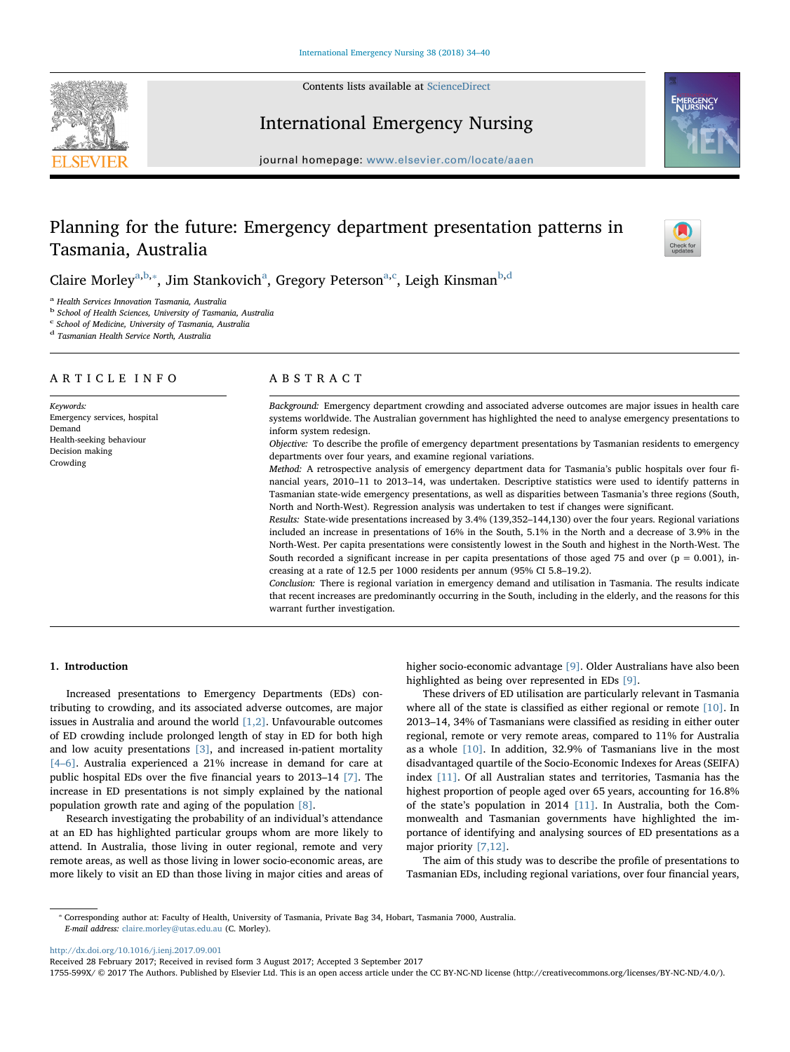

International Emergency Nursing



journal homepage: [www.elsevier.com/locate/aaen](http://www.elsevier.com/locate/aaen)

# Planning for the future: Emergency department presentation patterns in Tasmania, Australia



Claire Morley<sup>[a,](#page-0-0)[b](#page-0-1),\*</sup>, Jim St[a](#page-0-0)nkovi[c](#page-0-3)h<sup>a</sup>, Gregory Peterson<sup>a,c</sup>, Leigh Kinsman<sup>[b,](#page-0-1)[d](#page-0-4)</sup>

<span id="page-0-0"></span><sup>a</sup> Health Services Innovation Tasmania, Australia

<span id="page-0-1"></span>b School of Health Sciences, University of Tasmania, Australia

<span id="page-0-3"></span> $c$  School of Medicine, University of Tasmania, Australia

<span id="page-0-4"></span><sup>d</sup> Tasmanian Health Service North, Australia

## ARTICLE INFO

Keywords: Emergency services, hospital Demand Health-seeking behaviour Decision making Crowding

# ABSTRACT

Background: Emergency department crowding and associated adverse outcomes are major issues in health care systems worldwide. The Australian government has highlighted the need to analyse emergency presentations to inform system redesign.

Objective: To describe the profile of emergency department presentations by Tasmanian residents to emergency departments over four years, and examine regional variations.

Method: A retrospective analysis of emergency department data for Tasmania's public hospitals over four financial years, 2010–11 to 2013–14, was undertaken. Descriptive statistics were used to identify patterns in Tasmanian state-wide emergency presentations, as well as disparities between Tasmania's three regions (South, North and North-West). Regression analysis was undertaken to test if changes were significant.

Results: State-wide presentations increased by 3.4% (139,352–144,130) over the four years. Regional variations included an increase in presentations of 16% in the South, 5.1% in the North and a decrease of 3.9% in the North-West. Per capita presentations were consistently lowest in the South and highest in the North-West. The South recorded a significant increase in per capita presentations of those aged 75 and over ( $p = 0.001$ ), increasing at a rate of 12.5 per 1000 residents per annum (95% CI 5.8–19.2).

Conclusion: There is regional variation in emergency demand and utilisation in Tasmania. The results indicate that recent increases are predominantly occurring in the South, including in the elderly, and the reasons for this warrant further investigation.

# 1. Introduction

Increased presentations to Emergency Departments (EDs) contributing to crowding, and its associated adverse outcomes, are major issues in Australia and around the world  $[1,2]$ . Unfavourable outcomes of ED crowding include prolonged length of stay in ED for both high and low acuity presentations [\[3\]](#page-6-1), and increased in-patient mortality [4–[6\]](#page-6-2). Australia experienced a 21% increase in demand for care at public hospital EDs over the five financial years to 2013–14 [\[7\]](#page-6-3). The increase in ED presentations is not simply explained by the national population growth rate and aging of the population [\[8\].](#page-6-4)

Research investigating the probability of an individual's attendance at an ED has highlighted particular groups whom are more likely to attend. In Australia, those living in outer regional, remote and very remote areas, as well as those living in lower socio-economic areas, are more likely to visit an ED than those living in major cities and areas of higher socio-economic advantage [\[9\].](#page-6-5) Older Australians have also been highlighted as being over represented in EDs [\[9\].](#page-6-5)

These drivers of ED utilisation are particularly relevant in Tasmania where all of the state is classified as either regional or remote [\[10\].](#page-6-6) In 2013–14, 34% of Tasmanians were classified as residing in either outer regional, remote or very remote areas, compared to 11% for Australia as a whole [\[10\]](#page-6-6). In addition, 32.9% of Tasmanians live in the most disadvantaged quartile of the Socio-Economic Indexes for Areas (SEIFA) index [\[11\]](#page-6-7). Of all Australian states and territories, Tasmania has the highest proportion of people aged over 65 years, accounting for 16.8% of the state's population in 2014 [\[11\].](#page-6-7) In Australia, both the Commonwealth and Tasmanian governments have highlighted the importance of identifying and analysing sources of ED presentations as a major priority [\[7,12\].](#page-6-3)

The aim of this study was to describe the profile of presentations to Tasmanian EDs, including regional variations, over four financial years,

<span id="page-0-2"></span>⁎ Corresponding author at: Faculty of Health, University of Tasmania, Private Bag 34, Hobart, Tasmania 7000, Australia. E-mail address: [claire.morley@utas.edu.au](mailto:claire.morley@utas.edu.au) (C. Morley).

<http://dx.doi.org/10.1016/j.ienj.2017.09.001>

Received 28 February 2017; Received in revised form 3 August 2017; Accepted 3 September 2017

1755-599X/ © 2017 The Authors. Published by Elsevier Ltd. This is an open access article under the CC BY-NC-ND license (http://creativecommons.org/licenses/BY-NC-ND/4.0/).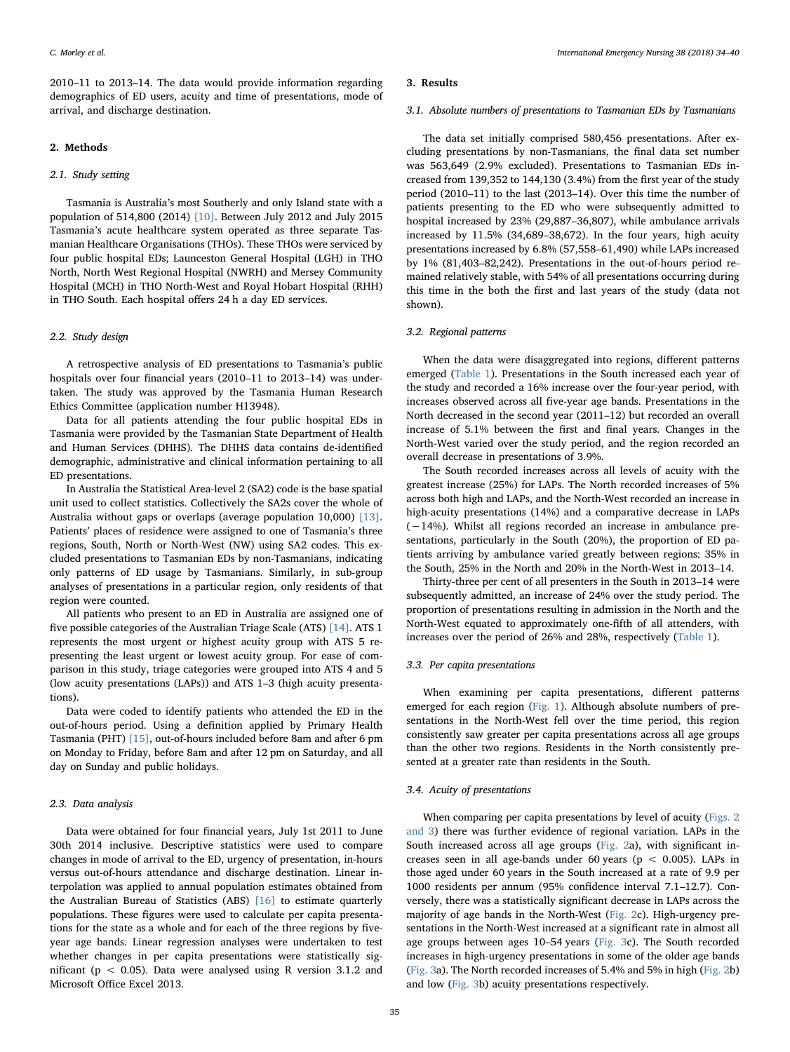2010–11 to 2013–14. The data would provide information regarding demographics of ED users, acuity and time of presentations, mode of arrival, and discharge destination.

# 2. Methods

## 2.1. Study setting

Tasmania is Australia's most Southerly and only Island state with a population of 514,800 (2014) [\[10\].](#page-6-6) Between July 2012 and July 2015 Tasmania's acute healthcare system operated as three separate Tasmanian Healthcare Organisations (THOs). These THOs were serviced by four public hospital EDs; Launceston General Hospital (LGH) in THO North, North West Regional Hospital (NWRH) and Mersey Community Hospital (MCH) in THO North-West and Royal Hobart Hospital (RHH) in THO South. Each hospital offers 24 h a day ED services.

# 2.2. Study design

A retrospective analysis of ED presentations to Tasmania's public hospitals over four financial years (2010–11 to 2013–14) was undertaken. The study was approved by the Tasmania Human Research Ethics Committee (application number H13948).

Data for all patients attending the four public hospital EDs in Tasmania were provided by the Tasmanian State Department of Health and Human Services (DHHS). The DHHS data contains de-identified demographic, administrative and clinical information pertaining to all ED presentations.

In Australia the Statistical Area-level 2 (SA2) code is the base spatial unit used to collect statistics. Collectively the SA2s cover the whole of Australia without gaps or overlaps (average population 10,000) [\[13\]](#page-6-8). Patients' places of residence were assigned to one of Tasmania's three regions, South, North or North-West (NW) using SA2 codes. This excluded presentations to Tasmanian EDs by non-Tasmanians, indicating only patterns of ED usage by Tasmanians. Similarly, in sub-group analyses of presentations in a particular region, only residents of that region were counted.

All patients who present to an ED in Australia are assigned one of five possible categories of the Australian Triage Scale (ATS) [\[14\].](#page-6-9) ATS 1 represents the most urgent or highest acuity group with ATS 5 representing the least urgent or lowest acuity group. For ease of comparison in this study, triage categories were grouped into ATS 4 and 5 (low acuity presentations (LAPs)) and ATS 1–3 (high acuity presentations).

Data were coded to identify patients who attended the ED in the out-of-hours period. Using a definition applied by Primary Health Tasmania (PHT) [\[15\],](#page-6-10) out-of-hours included before 8am and after 6 pm on Monday to Friday, before 8am and after 12 pm on Saturday, and all day on Sunday and public holidays.

## 2.3. Data analysis

Data were obtained for four financial years, July 1st 2011 to June 30th 2014 inclusive. Descriptive statistics were used to compare changes in mode of arrival to the ED, urgency of presentation, in-hours versus out-of-hours attendance and discharge destination. Linear interpolation was applied to annual population estimates obtained from the Australian Bureau of Statistics (ABS) [\[16\]](#page-6-11) to estimate quarterly populations. These figures were used to calculate per capita presentations for the state as a whole and for each of the three regions by fiveyear age bands. Linear regression analyses were undertaken to test whether changes in per capita presentations were statistically significant ( $p < 0.05$ ). Data were analysed using R version 3.1.2 and Microsoft Office Excel 2013.

## 3. Results

## 3.1. Absolute numbers of presentations to Tasmanian EDs by Tasmanians

The data set initially comprised 580,456 presentations. After excluding presentations by non-Tasmanians, the final data set number was 563,649 (2.9% excluded). Presentations to Tasmanian EDs increased from 139,352 to 144,130 (3.4%) from the first year of the study period (2010–11) to the last (2013–14). Over this time the number of patients presenting to the ED who were subsequently admitted to hospital increased by 23% (29,887–36,807), while ambulance arrivals increased by 11.5% (34,689–38,672). In the four years, high acuity presentations increased by 6.8% (57,558–61,490) while LAPs increased by 1% (81,403–82,242). Presentations in the out-of-hours period remained relatively stable, with 54% of all presentations occurring during this time in the both the first and last years of the study (data not shown).

## 3.2. Regional patterns

When the data were disaggregated into regions, different patterns emerged ([Table 1](#page-2-0)). Presentations in the South increased each year of the study and recorded a 16% increase over the four-year period, with increases observed across all five-year age bands. Presentations in the North decreased in the second year (2011–12) but recorded an overall increase of 5.1% between the first and final years. Changes in the North-West varied over the study period, and the region recorded an overall decrease in presentations of 3.9%.

The South recorded increases across all levels of acuity with the greatest increase (25%) for LAPs. The North recorded increases of 5% across both high and LAPs, and the North-West recorded an increase in high-acuity presentations (14%) and a comparative decrease in LAPs (−14%). Whilst all regions recorded an increase in ambulance presentations, particularly in the South (20%), the proportion of ED patients arriving by ambulance varied greatly between regions: 35% in the South, 25% in the North and 20% in the North-West in 2013–14.

Thirty-three per cent of all presenters in the South in 2013–14 were subsequently admitted, an increase of 24% over the study period. The proportion of presentations resulting in admission in the North and the North-West equated to approximately one-fifth of all attenders, with increases over the period of 26% and 28%, respectively ([Table 1\)](#page-2-0).

## 3.3. Per capita presentations

When examining per capita presentations, different patterns emerged for each region ([Fig. 1\)](#page-2-1). Although absolute numbers of presentations in the North-West fell over the time period, this region consistently saw greater per capita presentations across all age groups than the other two regions. Residents in the North consistently presented at a greater rate than residents in the South.

## 3.4. Acuity of presentations

When comparing per capita presentations by level of acuity ([Figs. 2](#page-3-0) [and 3\)](#page-3-0) there was further evidence of regional variation. LAPs in the South increased across all age groups ([Fig. 2a](#page-3-0)), with significant increases seen in all age-bands under 60 years ( $p < 0.005$ ). LAPs in those aged under 60 years in the South increased at a rate of 9.9 per 1000 residents per annum (95% confidence interval 7.1–12.7). Conversely, there was a statistically significant decrease in LAPs across the majority of age bands in the North-West ([Fig. 2c](#page-3-0)). High-urgency presentations in the North-West increased at a significant rate in almost all age groups between ages 10–54 years ([Fig. 3c](#page-4-0)). The South recorded increases in high-urgency presentations in some of the older age bands ([Fig. 3](#page-4-0)a). The North recorded increases of 5.4% and 5% in high ([Fig. 2](#page-3-0)b) and low ([Fig. 3](#page-4-0)b) acuity presentations respectively.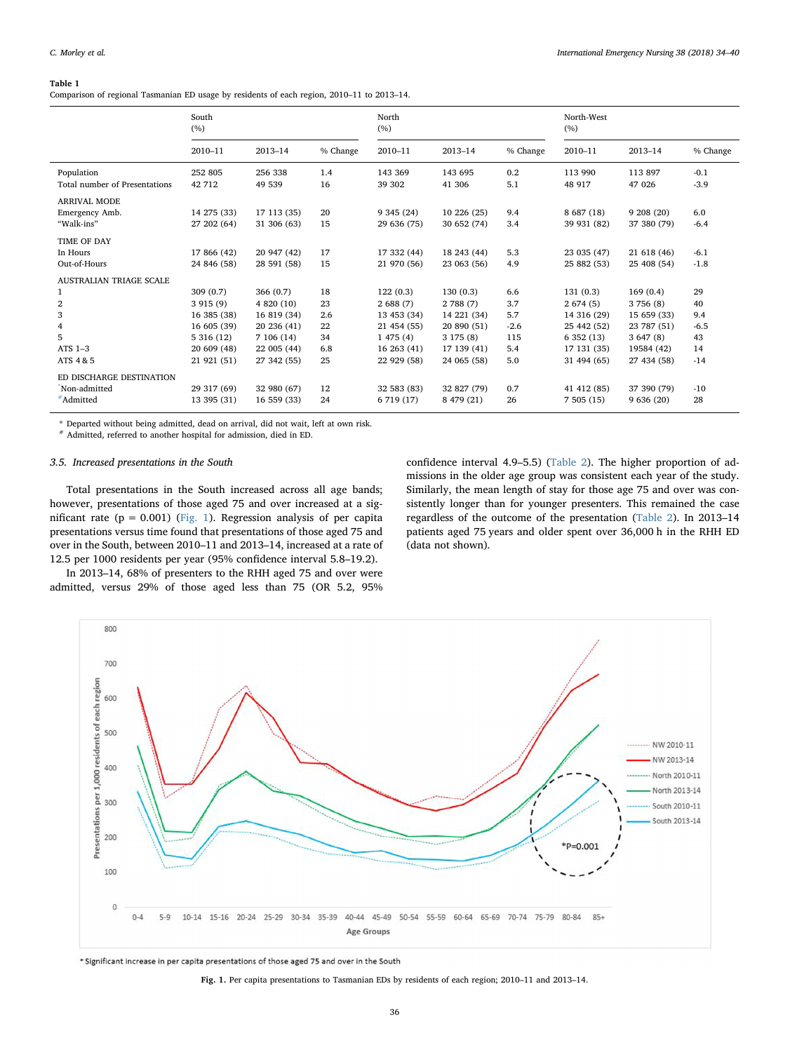## <span id="page-2-0"></span>Table 1

Comparison of regional Tasmanian ED usage by residents of each region, 2010–11 to 2013–14.

|                                                                                                                   | South<br>(%)                                                                                  |                                                                                                  |                                          | North<br>(%)                                                                               |                                                                                              |                                                  | North-West<br>(%)                                                                             |                                                                                             |                                                |  |
|-------------------------------------------------------------------------------------------------------------------|-----------------------------------------------------------------------------------------------|--------------------------------------------------------------------------------------------------|------------------------------------------|--------------------------------------------------------------------------------------------|----------------------------------------------------------------------------------------------|--------------------------------------------------|-----------------------------------------------------------------------------------------------|---------------------------------------------------------------------------------------------|------------------------------------------------|--|
|                                                                                                                   | 2010-11                                                                                       | $2013 - 14$                                                                                      | % Change                                 | 2010-11                                                                                    | 2013-14                                                                                      | % Change                                         | 2010-11                                                                                       | $2013 - 14$                                                                                 | % Change                                       |  |
| Population<br>Total number of Presentations                                                                       | 252 805<br>42 712                                                                             | 256 338<br>49 539                                                                                | 1.4<br>16                                | 143 369<br>39 302                                                                          | 143 695<br>41 30 6                                                                           | 0.2<br>5.1                                       | 113 990<br>48 917                                                                             | 113 897<br>47 0 26                                                                          | $-0.1$<br>$-3.9$                               |  |
| <b>ARRIVAL MODE</b><br>Emergency Amb.<br>"Walk-ins"                                                               | 14 275 (33)<br>27 202 (64)                                                                    | 17 113 (35)<br>31 306 (63)                                                                       | 20<br>15                                 | 9 345 (24)<br>29 636 (75)                                                                  | 10 226 (25)<br>30 652 (74)                                                                   | 9.4<br>3.4                                       | 8 687 (18)<br>39 931 (82)                                                                     | 9208(20)<br>37 380 (79)                                                                     | 6.0<br>$-6.4$                                  |  |
| <b>TIME OF DAY</b><br>In Hours<br>Out-of-Hours                                                                    | 17 866 (42)<br>24 846 (58)                                                                    | 20 947 (42)<br>28 591 (58)                                                                       | 17<br>15                                 | 17 332 (44)<br>21 970 (56)                                                                 | 18 243 (44)<br>23 063 (56)                                                                   | 5.3<br>4.9                                       | 23 035 (47)<br>25 882 (53)                                                                    | 21 618 (46)<br>25 408 (54)                                                                  | $-6.1$<br>$-1.8$                               |  |
| AUSTRALIAN TRIAGE SCALE<br>$\mathbf{1}$<br>$\boldsymbol{2}$<br>3<br>$\overline{4}$<br>5<br>$ATS$ 1-3<br>ATS 4 & 5 | 309(0.7)<br>3915(9)<br>16 385 (38)<br>16 605 (39)<br>5 316 (12)<br>20 609 (48)<br>21 921 (51) | 366(0.7)<br>4 820 (10)<br>16 819 (34)<br>20 236 (41)<br>7 106 (14)<br>22 005 (44)<br>27 342 (55) | 18<br>23<br>2.6<br>22<br>34<br>6.8<br>25 | 122(0.3)<br>2688(7)<br>13 453 (34)<br>21 454 (55)<br>1475(4)<br>16 263 (41)<br>22 929 (58) | 130(0.3)<br>2 788 (7)<br>14 221 (34)<br>20 890 (51)<br>3175(8)<br>17 139 (41)<br>24 065 (58) | 6.6<br>3.7<br>5.7<br>$-2.6$<br>115<br>5.4<br>5.0 | 131(0.3)<br>2674(5)<br>14 316 (29)<br>25 442 (52)<br>6 352 (13)<br>17 131 (35)<br>31 494 (65) | 169(0.4)<br>3 756 (8)<br>15 659 (33)<br>23 787 (51)<br>3647(8)<br>19584 (42)<br>27 434 (58) | 29<br>40<br>9.4<br>$-6.5$<br>43<br>14<br>$-14$ |  |
| ED DISCHARGE DESTINATION<br>Non-admitted<br>#Admitted                                                             | 29 317 (69)<br>13 395 (31)                                                                    | 32 980 (67)<br>16 559 (33)                                                                       | 12<br>24                                 | 32 583 (83)<br>6 719 (17)                                                                  | 32 827 (79)<br>8 479 (21)                                                                    | 0.7<br>26                                        | 41 412 (85)<br>7505(15)                                                                       | 37 390 (79)<br>9636(20)                                                                     | $-10$<br>28                                    |  |

<span id="page-2-2"></span>\* Departed without being admitted, dead on arrival, did not wait, left at own risk.

<span id="page-2-3"></span># Admitted, referred to another hospital for admission, died in ED.

# 3.5. Increased presentations in the South

Total presentations in the South increased across all age bands; however, presentations of those aged 75 and over increased at a significant rate ( $p = 0.001$ ) ([Fig. 1\)](#page-2-1). Regression analysis of per capita presentations versus time found that presentations of those aged 75 and over in the South, between 2010–11 and 2013–14, increased at a rate of 12.5 per 1000 residents per year (95% confidence interval 5.8–19.2).

In 2013–14, 68% of presenters to the RHH aged 75 and over were admitted, versus 29% of those aged less than 75 (OR 5.2, 95% confidence interval 4.9–5.5) [\(Table 2\)](#page-4-1). The higher proportion of admissions in the older age group was consistent each year of the study. Similarly, the mean length of stay for those age 75 and over was consistently longer than for younger presenters. This remained the case regardless of the outcome of the presentation ([Table 2](#page-4-1)). In 2013–14 patients aged 75 years and older spent over 36,000 h in the RHH ED (data not shown).

<span id="page-2-1"></span>

\* Significant increase in per capita presentations of those aged 75 and over in the South

Fig. 1. Per capita presentations to Tasmanian EDs by residents of each region; 2010–11 and 2013–14.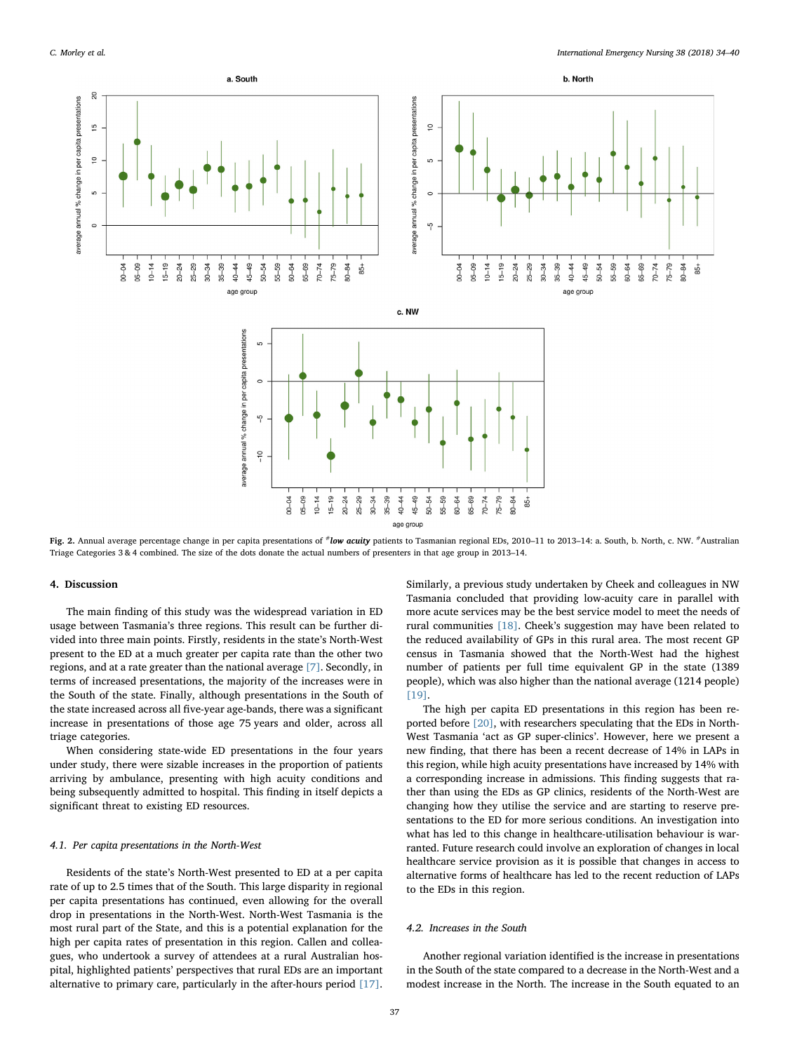<span id="page-3-0"></span>

Fig. 2. Annual average percentage change in per capita presentations of #low acuity patients to Tasmanian regional EDs, 2010-11 to 2013-14: a. South, b. North, c. NW. #Australian Triage Categories 3 & 4 combined. The size of the dots donate the actual numbers of presenters in that age group in 2013–14.

## 4. Discussion

The main finding of this study was the widespread variation in ED usage between Tasmania's three regions. This result can be further divided into three main points. Firstly, residents in the state's North-West present to the ED at a much greater per capita rate than the other two regions, and at a rate greater than the national average [\[7\].](#page-6-3) Secondly, in terms of increased presentations, the majority of the increases were in the South of the state. Finally, although presentations in the South of the state increased across all five-year age-bands, there was a significant increase in presentations of those age 75 years and older, across all triage categories.

When considering state-wide ED presentations in the four years under study, there were sizable increases in the proportion of patients arriving by ambulance, presenting with high acuity conditions and being subsequently admitted to hospital. This finding in itself depicts a significant threat to existing ED resources.

# 4.1. Per capita presentations in the North-West

Residents of the state's North-West presented to ED at a per capita rate of up to 2.5 times that of the South. This large disparity in regional per capita presentations has continued, even allowing for the overall drop in presentations in the North-West. North-West Tasmania is the most rural part of the State, and this is a potential explanation for the high per capita rates of presentation in this region. Callen and colleagues, who undertook a survey of attendees at a rural Australian hospital, highlighted patients' perspectives that rural EDs are an important alternative to primary care, particularly in the after-hours period [\[17\]](#page-6-12).

Similarly, a previous study undertaken by Cheek and colleagues in NW Tasmania concluded that providing low-acuity care in parallel with more acute services may be the best service model to meet the needs of rural communities [\[18\].](#page-6-13) Cheek's suggestion may have been related to the reduced availability of GPs in this rural area. The most recent GP census in Tasmania showed that the North-West had the highest number of patients per full time equivalent GP in the state (1389 people), which was also higher than the national average (1214 people) [\[19\]](#page-6-14).

The high per capita ED presentations in this region has been reported before [\[20\]](#page-6-15), with researchers speculating that the EDs in North-West Tasmania 'act as GP super-clinics'. However, here we present a new finding, that there has been a recent decrease of 14% in LAPs in this region, while high acuity presentations have increased by 14% with a corresponding increase in admissions. This finding suggests that rather than using the EDs as GP clinics, residents of the North-West are changing how they utilise the service and are starting to reserve presentations to the ED for more serious conditions. An investigation into what has led to this change in healthcare-utilisation behaviour is warranted. Future research could involve an exploration of changes in local healthcare service provision as it is possible that changes in access to alternative forms of healthcare has led to the recent reduction of LAPs to the EDs in this region.

## 4.2. Increases in the South

Another regional variation identified is the increase in presentations in the South of the state compared to a decrease in the North-West and a modest increase in the North. The increase in the South equated to an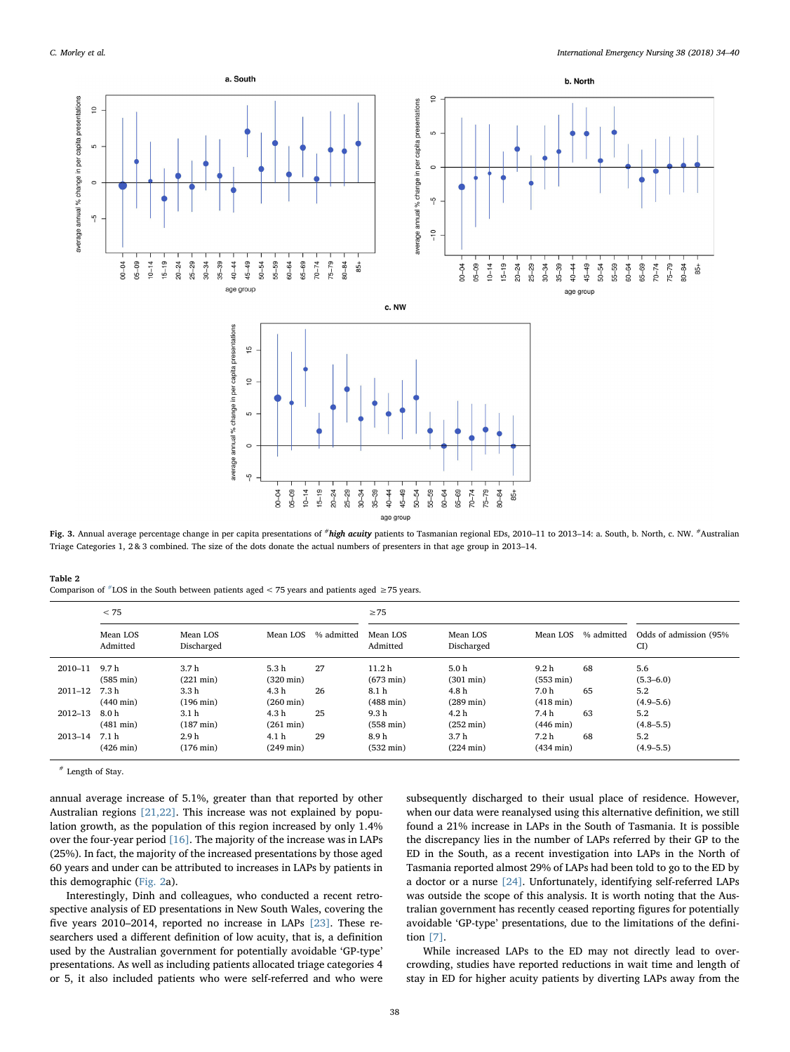<span id="page-4-0"></span>

age group Fig. 3. Annual average percentage change in per capita presentations of #high acuity patients to Tasmanian regional EDs, 2010-11 to 2013-14: a. South, b. North, c. NW. #Australian Triage Categories 1, 2 & 3 combined. The size of the dots donate the actual numbers of presenters in that age group in 2013–14.

<span id="page-4-1"></span>

| Table 2                                                                                                |  |  |  |  |  |  |
|--------------------------------------------------------------------------------------------------------|--|--|--|--|--|--|
| Comparison of $*$ LOS in the South between patients aged < 75 years and patients aged $\geq$ 75 years. |  |  |  |  |  |  |

|             | < 75                                    |                                         |                                         |            | $\geq$ 75                                |                                         |                                         |            |                               |
|-------------|-----------------------------------------|-----------------------------------------|-----------------------------------------|------------|------------------------------------------|-----------------------------------------|-----------------------------------------|------------|-------------------------------|
|             | Mean LOS<br>Admitted                    | Mean LOS<br>Discharged                  | Mean LOS                                | % admitted | Mean LOS<br>Admitted                     | Mean LOS<br>Discharged                  | Mean LOS                                | % admitted | Odds of admission (95%)<br>CI |
| $2010 - 11$ | 9.7h<br>$(585 \text{ min})$             | 3.7 <sub>h</sub><br>$(221 \text{ min})$ | 5.3h<br>$(320 \text{ min})$             | 27         | 11.2 <sub>h</sub><br>$(673 \text{ min})$ | 5.0 <sub>h</sub><br>$(301 \text{ min})$ | 9.2 <sub>h</sub><br>$(553 \text{ min})$ | 68         | 5.6<br>$(5.3 - 6.0)$          |
| $2011 - 12$ | 7.3 h<br>$(440 \text{ min})$            | 3.3 h<br>$(196 \text{ min})$            | 4.3 h<br>$(260 \text{ min})$            | 26         | 8.1 h<br>$(488 \text{ min})$             | 4.8 h<br>$(289 \text{ min})$            | 7.0 h<br>$(418 \text{ min})$            | 65         | 5.2<br>$(4.9 - 5.6)$          |
| $2012 - 13$ | 8.0 <sub>h</sub><br>$(481 \text{ min})$ | 3.1 <sub>h</sub><br>$(187 \text{ min})$ | 4.3h<br>$(261 \text{ min})$             | 25         | 9.3 <sub>h</sub><br>$(558 \text{ min})$  | 4.2 <sub>h</sub><br>$(252 \text{ min})$ | 7.4h<br>$(446 \text{ min})$             | 63         | 5.2<br>$(4.8 - 5.5)$          |
| 2013-14     | 7.1 h<br>$(426 \text{ min})$            | 2.9h<br>$(176 \text{ min})$             | 4.1 <sub>h</sub><br>$(249 \text{ min})$ | 29         | 8.9h<br>$(532 \text{ min})$              | 3.7 <sub>h</sub><br>$(224 \text{ min})$ | 7.2h<br>$(434 \text{ min})$             | 68         | 5.2<br>$(4.9 - 5.5)$          |

<span id="page-4-2"></span># Length of Stay.

annual average increase of 5.1%, greater than that reported by other Australian regions [\[21,22\].](#page-6-16) This increase was not explained by population growth, as the population of this region increased by only 1.4% over the four-year period [\[16\].](#page-6-11) The majority of the increase was in LAPs (25%). In fact, the majority of the increased presentations by those aged 60 years and under can be attributed to increases in LAPs by patients in this demographic ([Fig. 2](#page-3-0)a).

Interestingly, Dinh and colleagues, who conducted a recent retrospective analysis of ED presentations in New South Wales, covering the five years 2010–2014, reported no increase in LAPs [\[23\]](#page-6-17). These researchers used a different definition of low acuity, that is, a definition used by the Australian government for potentially avoidable 'GP-type' presentations. As well as including patients allocated triage categories 4 or 5, it also included patients who were self-referred and who were subsequently discharged to their usual place of residence. However, when our data were reanalysed using this alternative definition, we still found a 21% increase in LAPs in the South of Tasmania. It is possible the discrepancy lies in the number of LAPs referred by their GP to the ED in the South, as a recent investigation into LAPs in the North of Tasmania reported almost 29% of LAPs had been told to go to the ED by a doctor or a nurse [\[24\]](#page-6-18). Unfortunately, identifying self-referred LAPs was outside the scope of this analysis. It is worth noting that the Australian government has recently ceased reporting figures for potentially avoidable 'GP-type' presentations, due to the limitations of the definition [\[7\]](#page-6-3).

While increased LAPs to the ED may not directly lead to overcrowding, studies have reported reductions in wait time and length of stay in ED for higher acuity patients by diverting LAPs away from the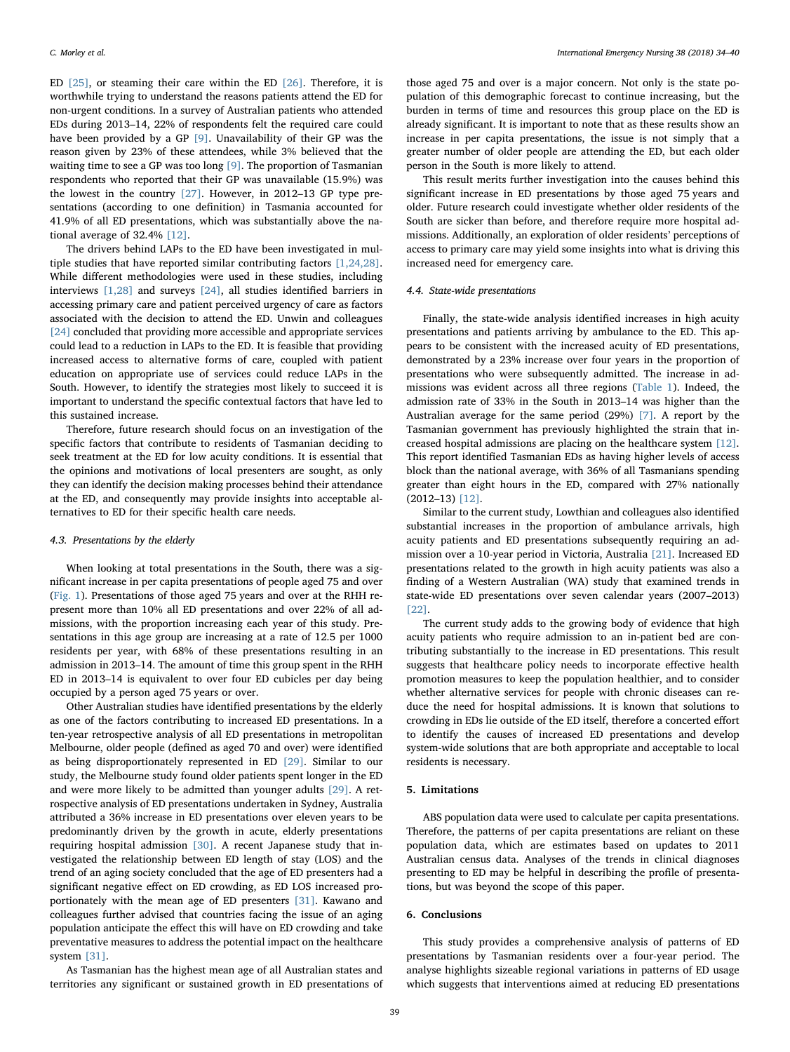ED [\[25\]](#page-6-19), or steaming their care within the ED [\[26\].](#page-6-20) Therefore, it is worthwhile trying to understand the reasons patients attend the ED for non-urgent conditions. In a survey of Australian patients who attended EDs during 2013–14, 22% of respondents felt the required care could have been provided by a GP [\[9\]](#page-6-5). Unavailability of their GP was the reason given by 23% of these attendees, while 3% believed that the waiting time to see a GP was too long [\[9\].](#page-6-5) The proportion of Tasmanian respondents who reported that their GP was unavailable (15.9%) was the lowest in the country [\[27\].](#page-6-21) However, in 2012–13 GP type presentations (according to one definition) in Tasmania accounted for 41.9% of all ED presentations, which was substantially above the national average of 32.4% [\[12\]](#page-6-22).

The drivers behind LAPs to the ED have been investigated in multiple studies that have reported similar contributing factors [\[1,24,28\]](#page-6-0). While different methodologies were used in these studies, including interviews [\[1,28\]](#page-6-0) and surveys [\[24\],](#page-6-18) all studies identified barriers in accessing primary care and patient perceived urgency of care as factors associated with the decision to attend the ED. Unwin and colleagues [\[24\]](#page-6-18) concluded that providing more accessible and appropriate services could lead to a reduction in LAPs to the ED. It is feasible that providing increased access to alternative forms of care, coupled with patient education on appropriate use of services could reduce LAPs in the South. However, to identify the strategies most likely to succeed it is important to understand the specific contextual factors that have led to this sustained increase.

Therefore, future research should focus on an investigation of the specific factors that contribute to residents of Tasmanian deciding to seek treatment at the ED for low acuity conditions. It is essential that the opinions and motivations of local presenters are sought, as only they can identify the decision making processes behind their attendance at the ED, and consequently may provide insights into acceptable alternatives to ED for their specific health care needs.

# 4.3. Presentations by the elderly

When looking at total presentations in the South, there was a significant increase in per capita presentations of people aged 75 and over ([Fig. 1](#page-2-1)). Presentations of those aged 75 years and over at the RHH represent more than 10% all ED presentations and over 22% of all admissions, with the proportion increasing each year of this study. Presentations in this age group are increasing at a rate of 12.5 per 1000 residents per year, with 68% of these presentations resulting in an admission in 2013–14. The amount of time this group spent in the RHH ED in 2013–14 is equivalent to over four ED cubicles per day being occupied by a person aged 75 years or over.

Other Australian studies have identified presentations by the elderly as one of the factors contributing to increased ED presentations. In a ten-year retrospective analysis of all ED presentations in metropolitan Melbourne, older people (defined as aged 70 and over) were identified as being disproportionately represented in ED [\[29\]](#page-6-23). Similar to our study, the Melbourne study found older patients spent longer in the ED and were more likely to be admitted than younger adults [\[29\].](#page-6-23) A retrospective analysis of ED presentations undertaken in Sydney, Australia attributed a 36% increase in ED presentations over eleven years to be predominantly driven by the growth in acute, elderly presentations requiring hospital admission [\[30\]](#page-6-24). A recent Japanese study that investigated the relationship between ED length of stay (LOS) and the trend of an aging society concluded that the age of ED presenters had a significant negative effect on ED crowding, as ED LOS increased proportionately with the mean age of ED presenters [\[31\].](#page-6-25) Kawano and colleagues further advised that countries facing the issue of an aging population anticipate the effect this will have on ED crowding and take preventative measures to address the potential impact on the healthcare system [\[31\].](#page-6-25)

As Tasmanian has the highest mean age of all Australian states and territories any significant or sustained growth in ED presentations of

those aged 75 and over is a major concern. Not only is the state population of this demographic forecast to continue increasing, but the burden in terms of time and resources this group place on the ED is already significant. It is important to note that as these results show an increase in per capita presentations, the issue is not simply that a greater number of older people are attending the ED, but each older person in the South is more likely to attend.

This result merits further investigation into the causes behind this significant increase in ED presentations by those aged 75 years and older. Future research could investigate whether older residents of the South are sicker than before, and therefore require more hospital admissions. Additionally, an exploration of older residents' perceptions of access to primary care may yield some insights into what is driving this increased need for emergency care.

# 4.4. State-wide presentations

Finally, the state-wide analysis identified increases in high acuity presentations and patients arriving by ambulance to the ED. This appears to be consistent with the increased acuity of ED presentations, demonstrated by a 23% increase over four years in the proportion of presentations who were subsequently admitted. The increase in admissions was evident across all three regions ([Table 1\)](#page-2-0). Indeed, the admission rate of 33% in the South in 2013–14 was higher than the Australian average for the same period (29%) [\[7\].](#page-6-3) A report by the Tasmanian government has previously highlighted the strain that increased hospital admissions are placing on the healthcare system [\[12\]](#page-6-22). This report identified Tasmanian EDs as having higher levels of access block than the national average, with 36% of all Tasmanians spending greater than eight hours in the ED, compared with 27% nationally (2012–13) [\[12\].](#page-6-22)

Similar to the current study, Lowthian and colleagues also identified substantial increases in the proportion of ambulance arrivals, high acuity patients and ED presentations subsequently requiring an admission over a 10-year period in Victoria, Australia [\[21\].](#page-6-16) Increased ED presentations related to the growth in high acuity patients was also a finding of a Western Australian (WA) study that examined trends in state-wide ED presentations over seven calendar years (2007–2013) [\[22\]](#page-6-26).

The current study adds to the growing body of evidence that high acuity patients who require admission to an in-patient bed are contributing substantially to the increase in ED presentations. This result suggests that healthcare policy needs to incorporate effective health promotion measures to keep the population healthier, and to consider whether alternative services for people with chronic diseases can reduce the need for hospital admissions. It is known that solutions to crowding in EDs lie outside of the ED itself, therefore a concerted effort to identify the causes of increased ED presentations and develop system-wide solutions that are both appropriate and acceptable to local residents is necessary.

## 5. Limitations

ABS population data were used to calculate per capita presentations. Therefore, the patterns of per capita presentations are reliant on these population data, which are estimates based on updates to 2011 Australian census data. Analyses of the trends in clinical diagnoses presenting to ED may be helpful in describing the profile of presentations, but was beyond the scope of this paper.

## 6. Conclusions

This study provides a comprehensive analysis of patterns of ED presentations by Tasmanian residents over a four-year period. The analyse highlights sizeable regional variations in patterns of ED usage which suggests that interventions aimed at reducing ED presentations